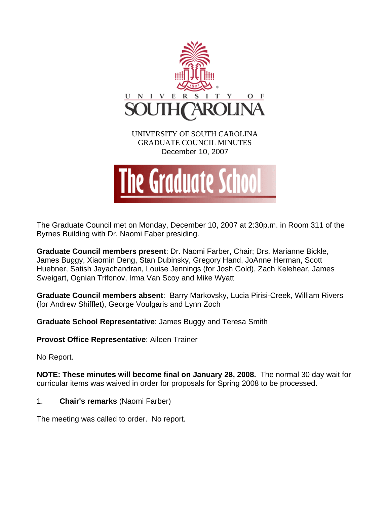

The Graduate Council met on Monday, December 10, 2007 at 2:30p.m. in Room 311 of the Byrnes Building with Dr. Naomi Faber presiding.

**Graduate Council members present**: Dr. Naomi Farber, Chair; Drs. Marianne Bickle, James Buggy, Xiaomin Deng, Stan Dubinsky, Gregory Hand, JoAnne Herman, Scott Huebner, Satish Jayachandran, Louise Jennings (for Josh Gold), Zach Kelehear, James Sweigart, Ognian Trifonov, Irma Van Scoy and Mike Wyatt

**Graduate Council members absent**: Barry Markovsky, Lucia Pirisi-Creek, William Rivers (for Andrew Shifflet), George Voulgaris and Lynn Zoch

**Graduate School Representative**: James Buggy and Teresa Smith

**Provost Office Representative**: Aileen Trainer

No Report.

**NOTE: These minutes will become final on January 28, 2008.** The normal 30 day wait for curricular items was waived in order for proposals for Spring 2008 to be processed.

1. **Chair's remarks** (Naomi Farber)

The meeting was called to order. No report.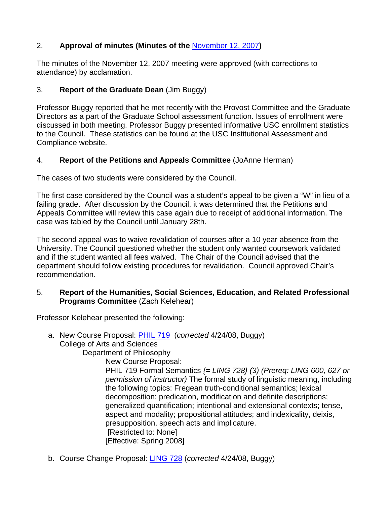# 2. **Approval of minutes (Minutes of the** November 12, 2007**)**

The minutes of the November 12, 2007 meeting were approved (with corrections to attendance) by acclamation.

## 3. **Report of the Graduate Dean** (Jim Buggy)

Professor Buggy reported that he met recently with the Provost Committee and the Graduate Directors as a part of the Graduate School assessment function. Issues of enrollment were discussed in both meeting. Professor Buggy presented informative USC enrollment statistics to the Council. These statistics can be found at the USC Institutional Assessment and Compliance website.

# 4. **Report of the Petitions and Appeals Committee** (JoAnne Herman)

The cases of two students were considered by the Council.

The first case considered by the Council was a student's appeal to be given a "W" in lieu of a failing grade. After discussion by the Council, it was determined that the Petitions and Appeals Committee will review this case again due to receipt of additional information. The case was tabled by the Council until January 28th.

The second appeal was to waive revalidation of courses after a 10 year absence from the University. The Council questioned whether the student only wanted coursework validated and if the student wanted all fees waived. The Chair of the Council advised that the department should follow existing procedures for revalidation. Council approved Chair's recommendation.

### 5. **Report of the Humanities, Social Sciences, Education, and Related Professional Programs Committee** (Zach Kelehear)

Professor Kelehear presented the following:

- a. New Course Proposal: [PHIL 719](http://www.gradschool.sc.edu/gradcouncil/Curricula/NCP%20PHIL%20719.PDF) (*corrected* 4/24/08, Buggy) College of Arts and Sciences Department of Philosophy New Course Proposal: PHIL 719 Formal Semantics *{= LING 728} (3) (Prereq: LING 600, 627 or permission of instructor)* The formal study of linguistic meaning, including the following topics: Fregean truth-conditional semantics; lexical decomposition; predication, modification and definite descriptions; generalized quantification; intentional and extensional contexts; tense, aspect and modality; propositional attitudes; and indexicality, deixis, presupposition, speech acts and implicature. [Restricted to: None] [Effective: Spring 2008]
- b. Course Change Proposal: [LING 728](http://www.gradschool.sc.edu/gradcouncil/Curricula/CCP%20LING%20728.PDF) (*corrected* 4/24/08, Buggy)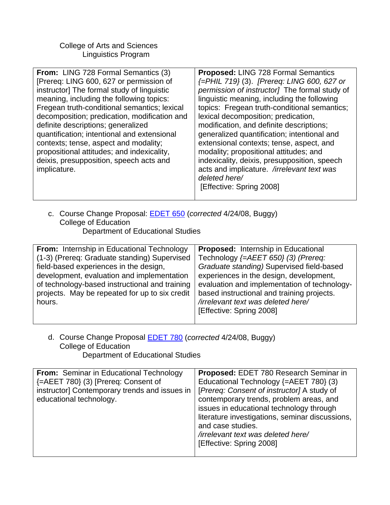College of Arts and Sciences Linguistics Program

| From: LING 728 Formal Semantics (3)<br>[Prereq: LING 600, 627 or permission of<br>instructor] The formal study of linguistic<br>meaning, including the following topics:<br>Fregean truth-conditional semantics; lexical<br>decomposition; predication, modification and<br>definite descriptions; generalized<br>quantification; intentional and extensional<br>contexts; tense, aspect and modality;<br>propositional attitudes; and indexicality,<br>deixis, presupposition, speech acts and<br>implicature. | <b>Proposed: LING 728 Formal Semantics</b><br>{=PHIL 719} (3). [Prereq: LING 600, 627 or<br>permission of instructor] The formal study of<br>linguistic meaning, including the following<br>topics: Fregean truth-conditional semantics;<br>lexical decomposition; predication,<br>modification, and definite descriptions;<br>generalized quantification; intentional and<br>extensional contexts; tense, aspect, and<br>modality; propositional attitudes; and<br>indexicality, deixis, presupposition, speech<br>acts and implicature. /irrelevant text was<br>deleted here/<br>[Effective: Spring 2008] |
|-----------------------------------------------------------------------------------------------------------------------------------------------------------------------------------------------------------------------------------------------------------------------------------------------------------------------------------------------------------------------------------------------------------------------------------------------------------------------------------------------------------------|-------------------------------------------------------------------------------------------------------------------------------------------------------------------------------------------------------------------------------------------------------------------------------------------------------------------------------------------------------------------------------------------------------------------------------------------------------------------------------------------------------------------------------------------------------------------------------------------------------------|
|-----------------------------------------------------------------------------------------------------------------------------------------------------------------------------------------------------------------------------------------------------------------------------------------------------------------------------------------------------------------------------------------------------------------------------------------------------------------------------------------------------------------|-------------------------------------------------------------------------------------------------------------------------------------------------------------------------------------------------------------------------------------------------------------------------------------------------------------------------------------------------------------------------------------------------------------------------------------------------------------------------------------------------------------------------------------------------------------------------------------------------------------|

c. Course Change Proposal: [EDET 650](http://www.gradschool.sc.edu/gradcouncil/Curricula/CCP%20EDET%20650.PDF) (*corrected* 4/24/08, Buggy) College of Education Department of Educational Studies

| From: Internship in Educational Technology     | <b>Proposed:</b> Internship in Educational   |
|------------------------------------------------|----------------------------------------------|
| (1-3) (Prereq: Graduate standing) Supervised   | Technology {=AEET 650} (3) (Prereq:          |
| field-based experiences in the design,         | Graduate standing) Supervised field-based    |
| development, evaluation and implementation     | experiences in the design, development,      |
| of technology-based instructional and training | evaluation and implementation of technology- |
| projects. May be repeated for up to six credit | based instructional and training projects.   |
| hours.                                         | /irrelevant text was deleted here/           |
|                                                | [Effective: Spring 2008]                     |
|                                                |                                              |

d. Course Change Proposal [EDET 780](http://www.gradschool.sc.edu/gradcouncil/Curricula/CCP%20EDET%20780.PDF) (*corrected* 4/24/08, Buggy) College of Education Department of Educational Studies

| From: Seminar in Educational Technology<br>{=AEET 780} (3) [Prereq: Consent of<br>instructor] Contemporary trends and issues in<br>educational technology. | Proposed: EDET 780 Research Seminar in<br>Educational Technology {=AEET 780} (3)<br>[Prereq: Consent of instructor] A study of<br>contemporary trends, problem areas, and<br>issues in educational technology through<br>literature investigations, seminar discussions,<br>and case studies.<br>/irrelevant text was deleted here/<br>[Effective: Spring 2008] |
|------------------------------------------------------------------------------------------------------------------------------------------------------------|-----------------------------------------------------------------------------------------------------------------------------------------------------------------------------------------------------------------------------------------------------------------------------------------------------------------------------------------------------------------|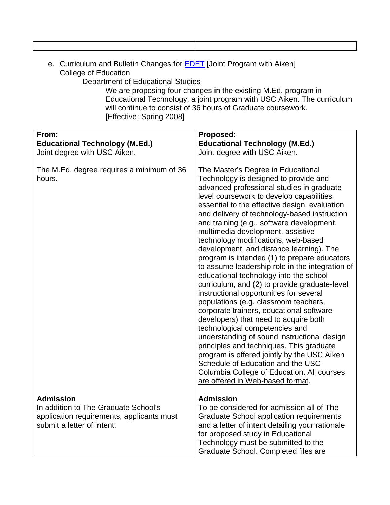| e. Curriculum and Bulletin Changes for <b>EDET</b> [Joint Program with Aiken] |
|-------------------------------------------------------------------------------|
| College of Education                                                          |

Department of Educational Studies

We are proposing four changes in the existing M.Ed. program in Educational Technology, a joint program with USC Aiken. The curriculum will continue to consist of 36 hours of Graduate coursework. [Effective: Spring 2008]

| From:                                                                                                                               | Proposed:                                                                                                                                                                                                                                                                                                                                                                                                                                                                                                                                                                                                                                                                                                                    |
|-------------------------------------------------------------------------------------------------------------------------------------|------------------------------------------------------------------------------------------------------------------------------------------------------------------------------------------------------------------------------------------------------------------------------------------------------------------------------------------------------------------------------------------------------------------------------------------------------------------------------------------------------------------------------------------------------------------------------------------------------------------------------------------------------------------------------------------------------------------------------|
| <b>Educational Technology (M.Ed.)</b>                                                                                               | <b>Educational Technology (M.Ed.)</b>                                                                                                                                                                                                                                                                                                                                                                                                                                                                                                                                                                                                                                                                                        |
| Joint degree with USC Aiken.                                                                                                        | Joint degree with USC Aiken.                                                                                                                                                                                                                                                                                                                                                                                                                                                                                                                                                                                                                                                                                                 |
| The M.Ed. degree requires a minimum of 36<br>hours.                                                                                 | The Master's Degree in Educational<br>Technology is designed to provide and<br>advanced professional studies in graduate<br>level coursework to develop capabilities<br>essential to the effective design, evaluation<br>and delivery of technology-based instruction<br>and training (e.g., software development,<br>multimedia development, assistive<br>technology modifications, web-based<br>development, and distance learning). The<br>program is intended (1) to prepare educators<br>to assume leadership role in the integration of<br>educational technology into the school<br>curriculum, and (2) to provide graduate-level<br>instructional opportunities for several<br>populations (e.g. classroom teachers, |
|                                                                                                                                     | corporate trainers, educational software<br>developers) that need to acquire both<br>technological competencies and<br>understanding of sound instructional design<br>principles and techniques. This graduate<br>program is offered jointly by the USC Aiken<br>Schedule of Education and the USC<br>Columbia College of Education. All courses<br>are offered in Web-based format.                                                                                                                                                                                                                                                                                                                                         |
| <b>Admission</b><br>In addition to The Graduate School's<br>application requirements, applicants must<br>submit a letter of intent. | <b>Admission</b><br>To be considered for admission all of The<br><b>Graduate School application requirements</b><br>and a letter of intent detailing your rationale<br>for proposed study in Educational<br>Technology must be submitted to the<br>Graduate School. Completed files are                                                                                                                                                                                                                                                                                                                                                                                                                                      |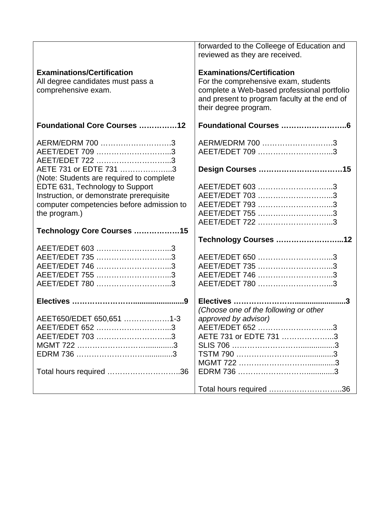|                                                                                                                                           | forwarded to the Colleege of Education and<br>reviewed as they are received.                                                                                                                      |
|-------------------------------------------------------------------------------------------------------------------------------------------|---------------------------------------------------------------------------------------------------------------------------------------------------------------------------------------------------|
| <b>Examinations/Certification</b><br>All degree candidates must pass a<br>comprehensive exam.                                             | <b>Examinations/Certification</b><br>For the comprehensive exam, students<br>complete a Web-based professional portfolio<br>and present to program faculty at the end of<br>their degree program. |
| Foundational Core Courses 12                                                                                                              |                                                                                                                                                                                                   |
| AERM/EDRM 700 3<br>AEET/EDET 709 3<br>AEET/EDET 722 3                                                                                     | AERM/EDRM 700 3<br>AEET/EDET 709 3                                                                                                                                                                |
| AETE 731 or EDTE 731 3<br>(Note: Students are required to complete                                                                        |                                                                                                                                                                                                   |
| EDTE 631, Technology to Support<br>Instruction, or demonstrate prerequisite<br>computer competencies before admission to<br>the program.) | AEET/EDET 603 3<br>AEET/EDET 703 3<br>AEET/EDET 793 3<br>AEET/EDET 755 3<br>AEET/EDET 722 3                                                                                                       |
| Technology Core Courses 15                                                                                                                |                                                                                                                                                                                                   |
| AEET/EDET 603 3<br>AEET/EDET 735 3<br>AEET/EDET 746 3<br>AEET/EDET 755 3<br>AEET/EDET 780 3                                               | Technology Courses 12<br>AEET/EDET 650 3<br>AEET/EDET 735 3<br>AEET/EDET 746 3<br>AEET/EDET 780 3                                                                                                 |
|                                                                                                                                           |                                                                                                                                                                                                   |
| AEET650/EDET 650,651 1-3<br>AEET/EDET 652 3<br>AEET/EDET 703 3<br>Total hours required 36                                                 | (Choose one of the following or other<br>approved by advisor)<br>AEET/EDET 652 3<br>AETE 731 or EDTE 731 3                                                                                        |
|                                                                                                                                           | Total hours required 36                                                                                                                                                                           |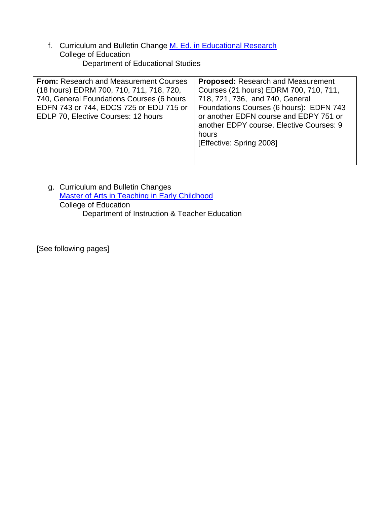f. Curriculum and Bulletin Change [M. Ed. in Educational Research](http://www.gradschool.sc.edu/gradcouncil/Curricula/CBC%20M.Ed.%20in%20Edu%20Research.PDF) College of Education Department of Educational Studies

| From: Research and Measurement Courses    | <b>Proposed:</b> Research and Measurement |
|-------------------------------------------|-------------------------------------------|
| (18 hours) EDRM 700, 710, 711, 718, 720,  | Courses (21 hours) EDRM 700, 710, 711,    |
| 740, General Foundations Courses (6 hours | 718, 721, 736, and 740, General           |
| EDFN 743 or 744, EDCS 725 or EDU 715 or   | Foundations Courses (6 hours): EDFN 743   |
| EDLP 70, Elective Courses: 12 hours       | or another EDFN course and EDPY 751 or    |
|                                           | another EDPY course. Elective Courses: 9  |
|                                           | hours                                     |
|                                           | [Effective: Spring 2008]                  |
|                                           |                                           |
|                                           |                                           |

g. Curriculum and Bulletin Changes [Master of Arts in Teaching in Early Childhood](http://www.gradschool.sc.edu/gradcouncil/Curricula/CBC%20Master%20of%20Arts%20in%20Teaching.PDF) College of Education Department of Instruction & Teacher Education

[See following pages]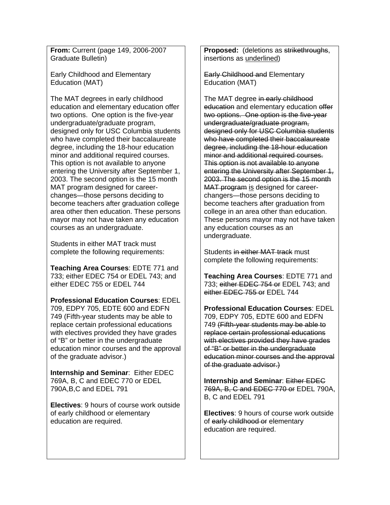**From:** Current (page 149, 2006-2007 Graduate Bulletin)

Early Childhood and Elementary Education (MAT)

The MAT degrees in early childhood education and elementary education offer two options. One option is the five-year undergraduate/graduate program, designed only for USC Columbia students who have completed their baccalaureate degree, including the 18-hour education minor and additional required courses. This option is not available to anyone entering the University after September 1, 2003. The second option is the 15 month MAT program designed for careerchanges—those persons deciding to become teachers after graduation college area other then education. These persons mayor may not have taken any education courses as an undergraduate.

Students in either MAT track must complete the following requirements:

**Teaching Area Courses**: EDTE 771 and 733; either EDEC 754 or EDEL 743; and either EDEC 755 or EDEL 744

**Professional Education Courses**: EDEL 709, EDPY 705, EDTE 600 and EDFN 749 (Fifth-year students may be able to replace certain professional educations with electives provided they have grades of "B" or better in the undergraduate education minor courses and the approval of the graduate advisor.)

**Internship and Seminar**: Either EDEC 769A, B, C and EDEC 770 or EDEL 790A,B,C and EDEL 791

**Electives**: 9 hours of course work outside of early childhood or elementary education are required.

**Proposed:** (deletions as strikethroughs, insertions as underlined)

Early Childhood and Elementary Education (MAT)

The MAT degree in early childhood education and elementary education offer two options. One option is the five-year undergraduate/graduate program, designed only for USC Columbia students who have completed their baccalaureate degree, including the 18-hour education minor and additional required courses. This option is not available to anyone entering the University after September 1, 2003. The second option is the 15 month MAT program is designed for careerchangers—those persons deciding to become teachers after graduation from college in an area other than education. These persons mayor may not have taken any education courses as an undergraduate.

Students in either MAT track must complete the following requirements:

**Teaching Area Courses**: EDTE 771 and 733; either EDEC 754 or EDEL 743; and either EDEC 755 or EDEL 744

**Professional Education Courses**: EDEL 709, EDPY 705, EDTE 600 and EDFN 749 (Fifth-year students may be able to replace certain professional educations with electives provided they have grades of "B" or better in the undergraduate education minor courses and the approval of the graduate advisor.)

**Internship and Seminar**: Either EDEC 769A, B, C and EDEC 770 or EDEL 790A, B, C and EDEL 791

**Electives**: 9 hours of course work outside of early childhood or elementary education are required.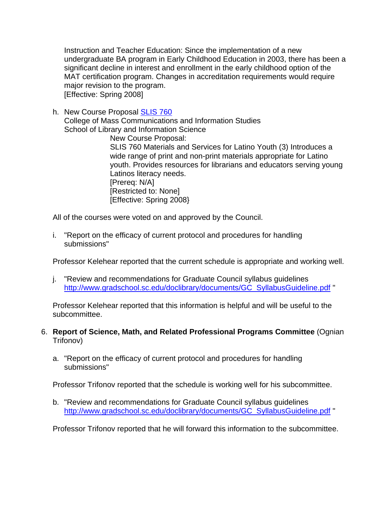Instruction and Teacher Education: Since the implementation of a new undergraduate BA program in Early Childhood Education in 2003, there has been a significant decline in interest and enrollment in the early childhood option of the MAT certification program. Changes in accreditation requirements would require major revision to the program. [Effective: Spring 2008]

h. New Course Proposal [SLIS 760](http://www.gradschool.sc.edu/gradcouncil/Curricula/NCP%20SLIS%20760.PDF) College of Mass Communications and Information Studies School of Library and Information Science

> New Course Proposal: SLIS 760 Materials and Services for Latino Youth (3) Introduces a wide range of print and non-print materials appropriate for Latino youth. Provides resources for librarians and educators serving young Latinos literacy needs. [Prereq: N/A] [Restricted to: None] [Effective: Spring 2008}

All of the courses were voted on and approved by the Council.

i. "Report on the efficacy of current protocol and procedures for handling submissions"

Professor Kelehear reported that the current schedule is appropriate and working well.

j. "Review and recommendations for Graduate Council syllabus guidelines http://www.gradschool.sc.edu/doclibrary/documents/GC\_SyllabusGuideline.pdf "

Professor Kelehear reported that this information is helpful and will be useful to the subcommittee.

- 6. **Report of Science, Math, and Related Professional Programs Committee** (Ognian Trifonov)
	- a. "Report on the efficacy of current protocol and procedures for handling submissions"

Professor Trifonov reported that the schedule is working well for his subcommittee.

b. "Review and recommendations for Graduate Council syllabus guidelines http://www.gradschool.sc.edu/doclibrary/documents/GC\_SyllabusGuideline.pdf "

Professor Trifonov reported that he will forward this information to the subcommittee.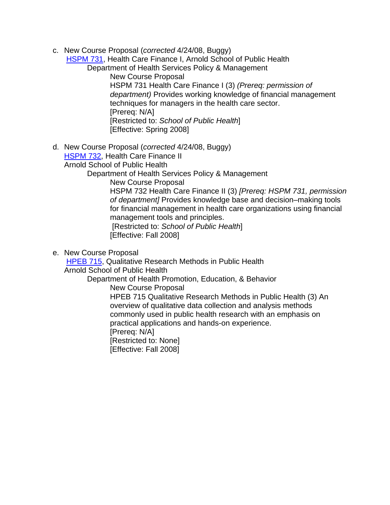c. New Course Proposal (*corrected* 4/24/08, Buggy)

**[HSPM 731](http://www.gradschool.sc.edu/gradcouncil/Curricula/NCP%20HSPM%20731.pdf), Health Care Finance I, Arnold School of Public Health** 

Department of Health Services Policy & Management

 New Course Proposal HSPM 731 Health Care Finance I (3) *(Prereq: permission of department)* Provides working knowledge of financial management techniques for managers in the health care sector. [Prereq: N/A] [Restricted to: *School of Public Health*] [Effective: Spring 2008]

d. New Course Proposal (*corrected* 4/24/08, Buggy)

[HSPM 732,](http://www.gradschool.sc.edu/gradcouncil/Curricula/NCP%20HSPM%20732.PDF) Health Care Finance II

Arnold School of Public Health

Department of Health Services Policy & Management

New Course Proposal

HSPM 732 Health Care Finance II (3) *[Prereq: HSPM 731, permission of department]* Provides knowledge base and decision–making tools for financial management in health care organizations using financial management tools and principles. [Restricted to: *School of Public Health*]

[Effective: Fall 2008]

e. New Course Proposal

[HPEB 715](http://www.gradschool.sc.edu/gradcouncil/Curricula/NCP%20HPEB%20715.PDF), Qualitative Research Methods in Public Health Arnold School of Public Health

Department of Health Promotion, Education, & Behavior

New Course Proposal

HPEB 715 Qualitative Research Methods in Public Health (3) An overview of qualitative data collection and analysis methods commonly used in public health research with an emphasis on practical applications and hands-on experience.

[Prereq: N/A]

[Restricted to: None]

[Effective: Fall 2008]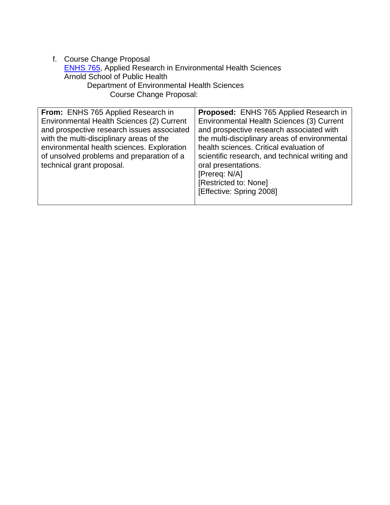f. Course Change Proposal [ENHS 765](http://www.gradschool.sc.edu/gradcouncil/Curricula/CCP%20ENHS%20765.PDF), Applied Research in Environmental Health Sciences Arnold School of Public Health Department of Environmental Health Sciences Course Change Proposal:

| From: ENHS 765 Applied Research in<br>Environmental Health Sciences (2) Current<br>and prospective research issues associated<br>with the multi-disciplinary areas of the<br>environmental health sciences. Exploration<br>of unsolved problems and preparation of a<br>technical grant proposal. | Proposed: ENHS 765 Applied Research in<br>Environmental Health Sciences (3) Current<br>and prospective research associated with<br>the multi-disciplinary areas of environmental<br>health sciences. Critical evaluation of<br>scientific research, and technical writing and<br>oral presentations.<br>[Prereq: N/A]<br>[Restricted to: None]<br>[Effective: Spring 2008] |
|---------------------------------------------------------------------------------------------------------------------------------------------------------------------------------------------------------------------------------------------------------------------------------------------------|----------------------------------------------------------------------------------------------------------------------------------------------------------------------------------------------------------------------------------------------------------------------------------------------------------------------------------------------------------------------------|
|---------------------------------------------------------------------------------------------------------------------------------------------------------------------------------------------------------------------------------------------------------------------------------------------------|----------------------------------------------------------------------------------------------------------------------------------------------------------------------------------------------------------------------------------------------------------------------------------------------------------------------------------------------------------------------------|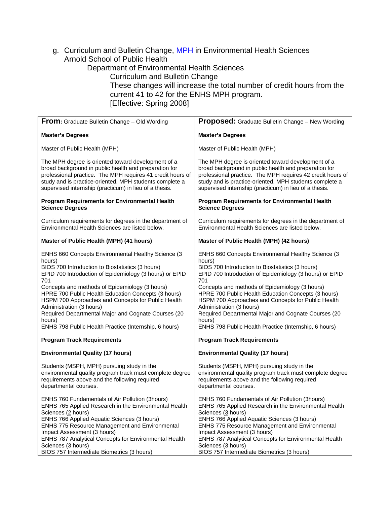g. Curriculum and Bulletin Change, [MPH](http://www.gradschool.sc.edu/gradcouncil/Curricula/CBC%20Dept%20Env%20Health%20Sci%20MPH.PDF) in Environmental Health Sciences Arnold School of Public Health

Department of Environmental Health Sciences

Curriculum and Bulletin Change

These changes will increase the total number of credit hours from the current 41 to 42 for the ENHS MPH program. [Effective: Spring 2008]

| From: Graduate Bulletin Change - Old Wording                                                                                                                                                                                                                                                                                                                                                                                                                                                            | Proposed: Graduate Bulletin Change - New Wording                                                                                                                                                                                                                                                                                                                                                                                                                                                        |
|---------------------------------------------------------------------------------------------------------------------------------------------------------------------------------------------------------------------------------------------------------------------------------------------------------------------------------------------------------------------------------------------------------------------------------------------------------------------------------------------------------|---------------------------------------------------------------------------------------------------------------------------------------------------------------------------------------------------------------------------------------------------------------------------------------------------------------------------------------------------------------------------------------------------------------------------------------------------------------------------------------------------------|
| <b>Master's Degrees</b>                                                                                                                                                                                                                                                                                                                                                                                                                                                                                 | <b>Master's Degrees</b>                                                                                                                                                                                                                                                                                                                                                                                                                                                                                 |
| Master of Public Health (MPH)                                                                                                                                                                                                                                                                                                                                                                                                                                                                           | Master of Public Health (MPH)                                                                                                                                                                                                                                                                                                                                                                                                                                                                           |
| The MPH degree is oriented toward development of a<br>broad background in public health and preparation for<br>professional practice. The MPH requires 41 credit hours of<br>study and is practice-oriented. MPH students complete a<br>supervised internship (practicum) in lieu of a thesis.                                                                                                                                                                                                          | The MPH degree is oriented toward development of a<br>broad background in public health and preparation for<br>professional practice. The MPH requires 42 credit hours of<br>study and is practice-oriented. MPH students complete a<br>supervised internship (practicum) in lieu of a thesis.                                                                                                                                                                                                          |
| <b>Program Requirements for Environmental Health</b><br><b>Science Degrees</b>                                                                                                                                                                                                                                                                                                                                                                                                                          | <b>Program Requirements for Environmental Health</b><br><b>Science Degrees</b>                                                                                                                                                                                                                                                                                                                                                                                                                          |
| Curriculum requirements for degrees in the department of<br>Environmental Health Sciences are listed below.                                                                                                                                                                                                                                                                                                                                                                                             | Curriculum requirements for degrees in the department of<br>Environmental Health Sciences are listed below.                                                                                                                                                                                                                                                                                                                                                                                             |
| Master of Public Health (MPH) (41 hours)                                                                                                                                                                                                                                                                                                                                                                                                                                                                | Master of Public Health (MPH) (42 hours)                                                                                                                                                                                                                                                                                                                                                                                                                                                                |
| ENHS 660 Concepts Environmental Healthy Science (3<br>hours)<br>BIOS 700 Introduction to Biostatistics (3 hours)<br>EPID 700 Introduction of Epidemiology (3 hours) or EPID<br>701<br>Concepts and methods of Epidemiology (3 hours)<br>HPRE 700 Public Health Education Concepts (3 hours)<br>HSPM 700 Approaches and Concepts for Public Health<br>Administration (3 hours)<br>Required Departmental Major and Cognate Courses (20<br>hours)<br>ENHS 798 Public Health Practice (Internship, 6 hours) | ENHS 660 Concepts Environmental Healthy Science (3<br>hours)<br>BIOS 700 Introduction to Biostatistics (3 hours)<br>EPID 700 Introduction of Epidemiology (3 hours) or EPID<br>701<br>Concepts and methods of Epidemiology (3 hours)<br>HPRE 700 Public Health Education Concepts (3 hours)<br>HSPM 700 Approaches and Concepts for Public Health<br>Administration (3 hours)<br>Required Departmental Major and Cognate Courses (20<br>hours)<br>ENHS 798 Public Health Practice (Internship, 6 hours) |
| <b>Program Track Requirements</b>                                                                                                                                                                                                                                                                                                                                                                                                                                                                       | <b>Program Track Requirements</b>                                                                                                                                                                                                                                                                                                                                                                                                                                                                       |
| <b>Environmental Quality (17 hours)</b>                                                                                                                                                                                                                                                                                                                                                                                                                                                                 | <b>Environmental Quality (17 hours)</b>                                                                                                                                                                                                                                                                                                                                                                                                                                                                 |
| Students (MSPH, MPH) pursuing study in the<br>environmental quality program track must complete degree<br>requirements above and the following required<br>departmental courses.                                                                                                                                                                                                                                                                                                                        | Students (MSPH, MPH) pursuing study in the<br>environmental quality program track must complete degree<br>requirements above and the following required<br>departmental courses.                                                                                                                                                                                                                                                                                                                        |
| ENHS 760 Fundamentals of Air Pollution (3hours)<br>ENHS 765 Applied Research in the Environmental Health<br>Sciences (2 hours)<br>ENHS 766 Applied Aquatic Sciences (3 hours)<br><b>ENHS 775 Resource Management and Environmental</b><br>Impact Assessment (3 hours)<br>ENHS 787 Analytical Concepts for Environmental Health<br>Sciences (3 hours)<br>BIOS 757 Intermediate Biometrics (3 hours)                                                                                                      | ENHS 760 Fundamentals of Air Pollution (3hours)<br>ENHS 765 Applied Research in the Environmental Health<br>Sciences (3 hours)<br>ENHS 766 Applied Aquatic Sciences (3 hours)<br>ENHS 775 Resource Management and Environmental<br>Impact Assessment (3 hours)<br>ENHS 787 Analytical Concepts for Environmental Health<br>Sciences (3 hours)<br>BIOS 757 Intermediate Biometrics (3 hours)                                                                                                             |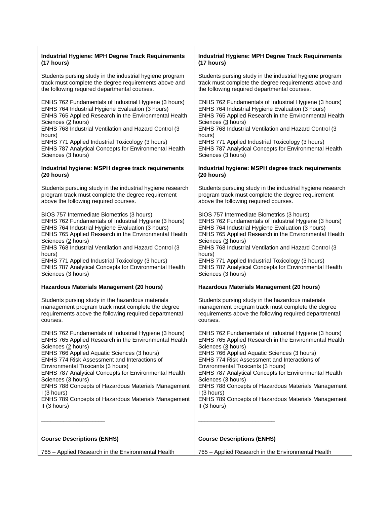| <b>Industrial Hygiene: MPH Degree Track Requirements</b>     | <b>Industrial Hygiene: MPH Degree Track Requirements</b>   |
|--------------------------------------------------------------|------------------------------------------------------------|
| (17 hours)                                                   | (17 hours)                                                 |
| Students pursing study in the industrial hygiene program     | Students pursing study in the industrial hygiene program   |
| track must complete the degree requirements above and        | track must complete the degree requirements above and      |
| the following required departmental courses.                 | the following required departmental courses.               |
| ENHS 762 Fundamentals of Industrial Hygiene (3 hours)        | ENHS 762 Fundamentals of Industrial Hygiene (3 hours)      |
| ENHS 764 Industrial Hygiene Evaluation (3 hours)             | ENHS 764 Industrial Hygiene Evaluation (3 hours)           |
| ENHS 765 Applied Research in the Environmental Health        | ENHS 765 Applied Research in the Environmental Health      |
| Sciences (2 hours)                                           | Sciences (3 hours)                                         |
| ENHS 768 Industrial Ventilation and Hazard Control (3        | ENHS 768 Industrial Ventilation and Hazard Control (3      |
| hours)                                                       | hours)                                                     |
| ENHS 771 Applied Industrial Toxicology (3 hours)             | ENHS 771 Applied Industrial Toxicology (3 hours)           |
| ENHS 787 Analytical Concepts for Environmental Health        | ENHS 787 Analytical Concepts for Environmental Health      |
| Sciences (3 hours)                                           | Sciences (3 hours)                                         |
| Industrial hygiene: MSPH degree track requirements           | Industrial hygiene: MSPH degree track requirements         |
| (20 hours)                                                   | (20 hours)                                                 |
| Students pursuing study in the industrial hygiene research   | Students pursuing study in the industrial hygiene research |
| program track must complete the degree requirement           | program track must complete the degree requirement         |
| above the following required courses.                        | above the following required courses.                      |
| BIOS 757 Intermediate Biometrics (3 hours)                   | BIOS 757 Intermediate Biometrics (3 hours)                 |
| ENHS 762 Fundamentals of Industrial Hygiene (3 hours)        | ENHS 762 Fundamentals of Industrial Hygiene (3 hours)      |
| ENHS 764 Industrial Hygiene Evaluation (3 hours)             | ENHS 764 Industrial Hygiene Evaluation (3 hours)           |
| ENHS 765 Applied Research in the Environmental Health        | ENHS 765 Applied Research in the Environmental Health      |
| Sciences (2 hours)                                           | Sciences (3 hours)                                         |
| ENHS 768 Industrial Ventilation and Hazard Control (3        | ENHS 768 Industrial Ventilation and Hazard Control (3      |
| hours)                                                       | hours)                                                     |
| ENHS 771 Applied Industrial Toxicology (3 hours)             | ENHS 771 Applied Industrial Toxicology (3 hours)           |
| ENHS 787 Analytical Concepts for Environmental Health        | ENHS 787 Analytical Concepts for Environmental Health      |
| Sciences (3 hours)                                           | Sciences (3 hours)                                         |
| Hazardous Materials Management (20 hours)                    | Hazardous Materials Management (20 hours)                  |
| Students pursing study in the hazardous materials            | Students pursing study in the hazardous materials          |
| management program track must complete the degree            | management program track must complete the degree          |
| requirements above the following required departmental       | requirements above the following required departmental     |
| courses.                                                     | courses.                                                   |
| ENHS 762 Fundamentals of Industrial Hygiene (3 hours)        | ENHS 762 Fundamentals of Industrial Hygiene (3 hours)      |
| ENHS 765 Applied Research in the Environmental Health        | ENHS 765 Applied Research in the Environmental Health      |
| Sciences (2 hours)                                           | Sciences (3 hours)                                         |
| ENHS 766 Applied Aquatic Sciences (3 hours)                  | ENHS 766 Applied Aquatic Sciences (3 hours)                |
| <b>ENHS 774 Risk Assessment and Interactions of</b>          | <b>ENHS 774 Risk Assessment and Interactions of</b>        |
| Environmental Toxicants (3 hours)                            | Environmental Toxicants (3 hours)                          |
| <b>ENHS 787 Analytical Concepts for Environmental Health</b> | ENHS 787 Analytical Concepts for Environmental Health      |
| Sciences (3 hours)                                           | Sciences (3 hours)                                         |
| ENHS 788 Concepts of Hazardous Materials Management          | ENHS 788 Concepts of Hazardous Materials Management        |
| I (3 hours)                                                  | I (3 hours)                                                |
| ENHS 789 Concepts of Hazardous Materials Management          | ENHS 789 Concepts of Hazardous Materials Management        |
| II (3 hours)                                                 | $II$ (3 hours)                                             |
| <b>Course Descriptions (ENHS)</b>                            | <b>Course Descriptions (ENHS)</b>                          |
| 765 – Applied Research in the Environmental Health           | 765 - Applied Research in the Environmental Health         |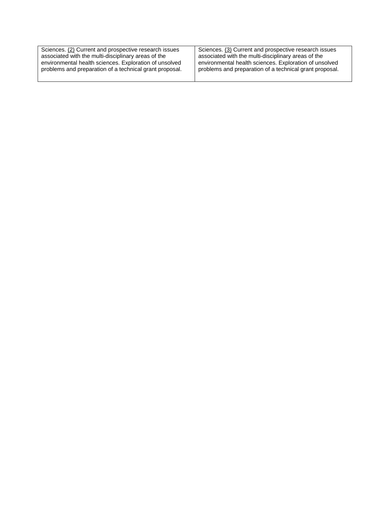| Sciences. (2) Current and prospective research issues   | Sciences. (3) Current and prospective research issues   |
|---------------------------------------------------------|---------------------------------------------------------|
| associated with the multi-disciplinary areas of the     | associated with the multi-disciplinary areas of the     |
| environmental health sciences. Exploration of unsolved  | environmental health sciences. Exploration of unsolved  |
| problems and preparation of a technical grant proposal. | problems and preparation of a technical grant proposal. |
|                                                         |                                                         |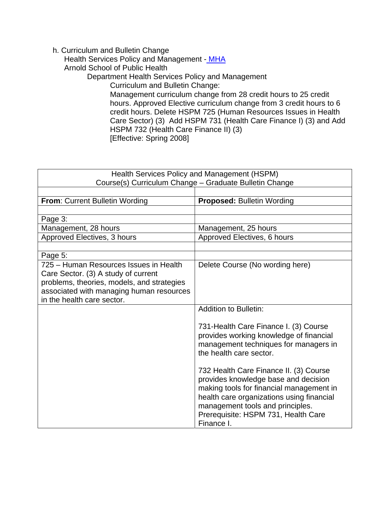#### h. Curriculum and Bulletin Change

Health Services Policy and Management [- MHA](http://www.gradschool.sc.edu/gradcouncil/curricula/CBC%20Health%20Serv.%20Policy%20and%20Mgmt-MHA.pdf)

Arnold School of Public Health

Department Health Services Policy and Management

Curriculum and Bulletin Change:

Management curriculum change from 28 credit hours to 25 credit hours. Approved Elective curriculum change from 3 credit hours to 6 credit hours. Delete HSPM 725 (Human Resources Issues in Health Care Sector) (3) Add HSPM 731 (Health Care Finance I) (3) and Add HSPM 732 (Health Care Finance II) (3) [Effective: Spring 2008]

| Health Services Policy and Management (HSPM)<br>Course(s) Curriculum Change - Graduate Bulletin Change |                                                                  |
|--------------------------------------------------------------------------------------------------------|------------------------------------------------------------------|
|                                                                                                        |                                                                  |
| From: Current Bulletin Wording                                                                         | <b>Proposed: Bulletin Wording</b>                                |
| Page 3:                                                                                                |                                                                  |
| Management, 28 hours                                                                                   | Management, 25 hours                                             |
| Approved Electives, 3 hours                                                                            | Approved Electives, 6 hours                                      |
|                                                                                                        |                                                                  |
| Page 5:                                                                                                |                                                                  |
| 725 – Human Resources Issues in Health<br>Care Sector. (3) A study of current                          | Delete Course (No wording here)                                  |
| problems, theories, models, and strategies                                                             |                                                                  |
| associated with managing human resources                                                               |                                                                  |
| in the health care sector.                                                                             |                                                                  |
|                                                                                                        | <b>Addition to Bulletin:</b>                                     |
|                                                                                                        |                                                                  |
|                                                                                                        | 731-Health Care Finance I. (3) Course                            |
|                                                                                                        | provides working knowledge of financial                          |
|                                                                                                        | management techniques for managers in<br>the health care sector. |
|                                                                                                        |                                                                  |
|                                                                                                        | 732 Health Care Finance II. (3) Course                           |
|                                                                                                        | provides knowledge base and decision                             |
|                                                                                                        | making tools for financial management in                         |
|                                                                                                        | health care organizations using financial                        |
|                                                                                                        | management tools and principles.                                 |
|                                                                                                        | Prerequisite: HSPM 731, Health Care<br>Finance I.                |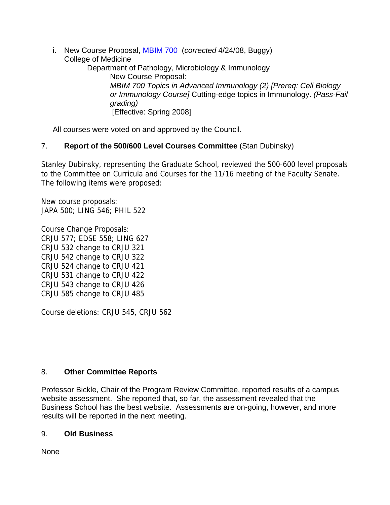i. New Course Proposal, [MBIM 700](http://www.gradschool.sc.edu/gradcouncil/Curricula/NCP%20MBIM%20700.pdf) (*corrected* 4/24/08, Buggy) College of Medicine Department of Pathology, Microbiology & Immunology New Course Proposal: *MBIM 700 Topics in Advanced Immunology (2) [Prereq: Cell Biology or Immunology Course]* Cutting-edge topics in Immunology. *(Pass-Fail grading)*  [Effective: Spring 2008]

All courses were voted on and approved by the Council.

# 7. **Report of the 500/600 Level Courses Committee** (Stan Dubinsky)

Stanley Dubinsky, representing the Graduate School, reviewed the 500-600 level proposals to the Committee on Curricula and Courses for the 11/16 meeting of the Faculty Senate. The following items were proposed:

New course proposals: JAPA 500; LING 546; PHIL 522

Course Change Proposals: CRJU 577; EDSE 558; LING 627 CRJU 532 change to CRJU 321 CRJU 542 change to CRJU 322 CRJU 524 change to CRJU 421 CRJU 531 change to CRJU 422 CRJU 543 change to CRJU 426 CRJU 585 change to CRJU 485

Course deletions: CRJU 545, CRJU 562

## 8. **Other Committee Reports**

Professor Bickle, Chair of the Program Review Committee, reported results of a campus website assessment. She reported that, so far, the assessment revealed that the Business School has the best website. Assessments are on-going, however, and more results will be reported in the next meeting.

#### 9. **Old Business**

None